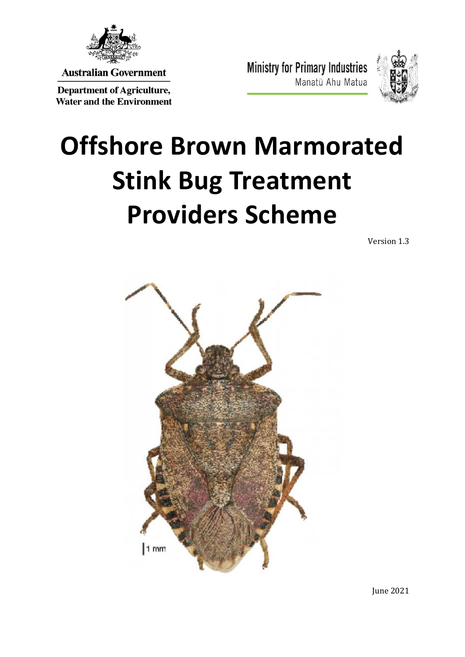

**Australian Government** 

**Department of Agriculture, Water and the Environment**  **Ministry for Primary Industries** Manatū Ahu Matua



# **Offshore Brown Marmorated Stink Bug Treatment Providers Scheme**

Version 1.3



June 2021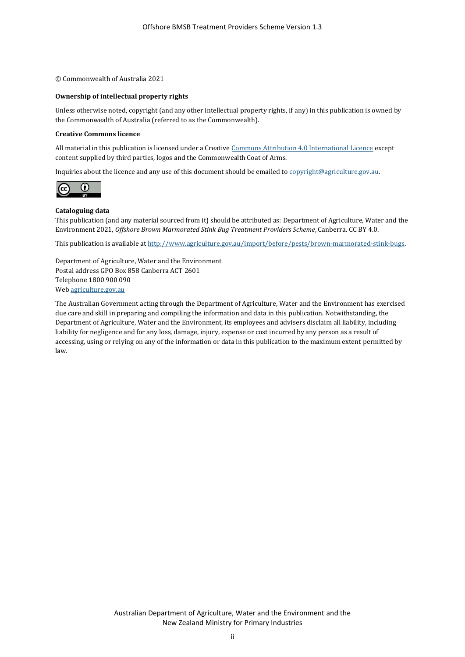© Commonwealth of Australia 2021

#### **Ownership of intellectual property rights**

Unless otherwise noted, copyright (and any other intellectual property rights, if any) in this publication is owned by the Commonwealth of Australia (referred to as the Commonwealth).

#### **Creative Commons licence**

All material in this publication is licensed under a Creativ[e Commons Attribution 4.0 International Licence](https://creativecommons.org/licenses/by/4.0/legalcode) except content supplied by third parties, logos and the Commonwealth Coat of Arms.

Inquiries about the licence and any use of this document should be emailed t[o copyright@agriculture.gov.au.](mailto:copyright@agriculture.gov.au)



#### **Cataloguing data**

This publication (and any material sourced from it) should be attributed as: Department of Agriculture, Water and the Environment 2021, *Offshore Brown Marmorated Stink Bug Treatment Providers Scheme*, Canberra. CC BY 4.0.

This publication is available a[t http://www.agriculture.gov.au/import/before/pests/brown-marmorated-stink-bugs.](http://www.agriculture.gov.au/import/before/pests/brown-marmorated-stink-bugs)

Department of Agriculture, Water and the Environment Postal address GPO Box 858 Canberra ACT 2601 Telephone 1800 900 090 We[b agriculture.gov.au](http://agriculture.gov.au/)

The Australian Government acting through the Department of Agriculture, Water and the Environment has exercised due care and skill in preparing and compiling the information and data in this publication. Notwithstanding, the Department of Agriculture, Water and the Environment, its employees and advisers disclaim all liability, including liability for negligence and for any loss, damage, injury, expense or cost incurred by any person as a result of accessing, using or relying on any of the information or data in this publication to the maximum extent permitted by law.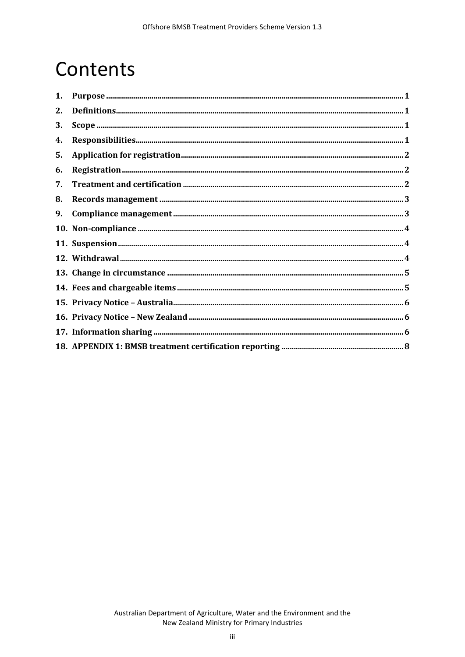# Contents

| 1. | ${\bf Purpose}\ _{\bf m}{\bf =\ }{\bf 1}$                                                                                                                                                                                                                                                                                                                                                           |  |
|----|-----------------------------------------------------------------------------------------------------------------------------------------------------------------------------------------------------------------------------------------------------------------------------------------------------------------------------------------------------------------------------------------------------|--|
| 2. |                                                                                                                                                                                                                                                                                                                                                                                                     |  |
| 3. |                                                                                                                                                                                                                                                                                                                                                                                                     |  |
| 4. |                                                                                                                                                                                                                                                                                                                                                                                                     |  |
| 5. |                                                                                                                                                                                                                                                                                                                                                                                                     |  |
| 6. |                                                                                                                                                                                                                                                                                                                                                                                                     |  |
| 7. |                                                                                                                                                                                                                                                                                                                                                                                                     |  |
| 8. |                                                                                                                                                                                                                                                                                                                                                                                                     |  |
| 9. | ${\bf \textbf{Compliance management} \textbf{} \textbf{} \textbf{} \textbf{} \textbf{} \textbf{} \textbf{} \textbf{} \textbf{} \textbf{} \textbf{} \textbf{} \textbf{} \textbf{} \textbf{} \textbf{} \textbf{} \textbf{} \textbf{} \textbf{} \textbf{} \textbf{} \textbf{} \textbf{} \textbf{} \textbf{} \textbf{} \textbf{} \textbf{} \textbf{} \textbf{} \textbf{} \textbf{} \textbf{} \textbf{}$ |  |
|    |                                                                                                                                                                                                                                                                                                                                                                                                     |  |
|    |                                                                                                                                                                                                                                                                                                                                                                                                     |  |
|    |                                                                                                                                                                                                                                                                                                                                                                                                     |  |
|    |                                                                                                                                                                                                                                                                                                                                                                                                     |  |
|    |                                                                                                                                                                                                                                                                                                                                                                                                     |  |
|    |                                                                                                                                                                                                                                                                                                                                                                                                     |  |
|    |                                                                                                                                                                                                                                                                                                                                                                                                     |  |
|    |                                                                                                                                                                                                                                                                                                                                                                                                     |  |
|    |                                                                                                                                                                                                                                                                                                                                                                                                     |  |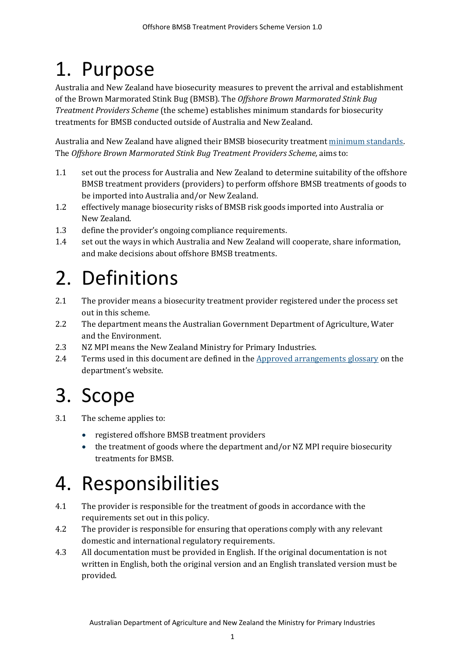# <span id="page-3-0"></span>1. Purpose

Australia and New Zealand have biosecurity measures to prevent the arrival and establishment of the Brown Marmorated Stink Bug (BMSB). The *Offshore Brown Marmorated Stink Bug Treatment Providers Scheme* (the scheme) establishes minimum standards for biosecurity treatments for BMSB conducted outside of Australia and New Zealand.

Australia and New Zealand have aligned their BMSB biosecurity treatmen[t minimum standards.](http://www.agriculture.gov.au/import/arrival/treatments/treatments-fumigants)  The *Offshore Brown Marmorated Stink Bug Treatment Providers Scheme,* aims to:

- 1.1 set out the process for Australia and New Zealand to determine suitability of the offshore BMSB treatment providers (providers) to perform offshore BMSB treatments of goods to be imported into Australia and/or New Zealand.
- 1.2 effectively manage biosecurity risks of BMSB risk goods imported into Australia or New Zealand.
- 1.3 define the provider's ongoing compliance requirements.
- 1.4 set out the ways in which Australia and New Zealand will cooperate, share information, and make decisions about offshore BMSB treatments.

# <span id="page-3-1"></span>2. Definitions

- 2.1 The provider means a biosecurity treatment provider registered under the process set out in this scheme.
- 2.2 The department means the Australian Government Department of Agriculture, Water and the Environment.
- 2.3 NZ MPI means the New Zealand Ministry for Primary Industries.
- 2.4 Terms used in this document are defined in th[e Approved arrangements glossary](http://www.agriculture.gov.au/import/arrival/arrangements/glossary) on the department's website.

# <span id="page-3-2"></span>3. Scope

- 3.1 The scheme applies to:
	- registered offshore BMSB treatment providers
	- the treatment of goods where the department and/or NZ MPI require biosecurity treatments for BMSB.

# <span id="page-3-3"></span>4. Responsibilities

- 4.1 The provider is responsible for the treatment of goods in accordance with the requirements set out in this policy.
- 4.2 The provider is responsible for ensuring that operations comply with any relevant domestic and international regulatory requirements.
- 4.3 All documentation must be provided in English. If the original documentation is not written in English, both the original version and an English translated version must be provided.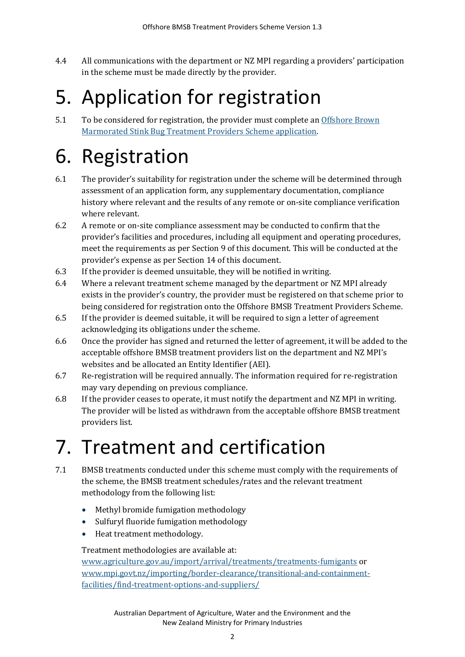4.4 All communications with the department or NZ MPI regarding a providers' participation in the scheme must be made directly by the provider.

# <span id="page-4-0"></span>5. Application for registration

5.1 To be considered for registration, the provider must complete an Offshore Brown [Marmorated Stink Bug Treatment Providers Scheme application.](http://www.agriculture.gov.au/bmsb)

# <span id="page-4-1"></span>6. Registration

- 6.1 The provider's suitability for registration under the scheme will be determined through assessment of an application form, any supplementary documentation, compliance history where relevant and the results of any remote or on-site compliance verification where relevant.
- 6.2 A remote or on-site compliance assessment may be conducted to confirm that the provider's facilities and procedures, including all equipment and operating procedures, meet the requirements as per Section 9 of this document. This will be conducted at the provider's expense as per Section 14 of this document.
- 6.3 If the provider is deemed unsuitable, they will be notified in writing.
- 6.4 Where a relevant treatment scheme managed by the department or NZ MPI already exists in the provider's country, the provider must be registered on that scheme prior to being considered for registration onto the Offshore BMSB Treatment Providers Scheme.
- 6.5 If the provider is deemed suitable, it will be required to sign a letter of agreement acknowledging its obligations under the scheme.
- 6.6 Once the provider has signed and returned the letter of agreement, it will be added to the acceptable offshore BMSB treatment providers list on the department and NZ MPI's websites and be allocated an Entity Identifier (AEI).
- 6.7 Re-registration will be required annually. The information required for re-registration may vary depending on previous compliance.
- 6.8 If the provider ceases to operate, it must notify the department and NZ MPI in writing. The provider will be listed as withdrawn from the acceptable offshore BMSB treatment providers list.

# <span id="page-4-2"></span>7. Treatment and certification

- 7.1 BMSB treatments conducted under this scheme must comply with the requirements of the scheme, the BMSB treatment schedules/rates and the relevant treatment methodology from the following list:
	- Methyl bromide fumigation methodology
	- Sulfuryl fluoride fumigation methodology
	- Heat treatment methodology.

Treatment methodologies are available at:

[www.agriculture.gov.au/import/arrival/treatments/treatments-fumigants](http://www.agriculture.gov.au/import/arrival/treatments/treatments-fumigants) or [www.mpi.govt.nz/importing/border-clearance/transitional-and-containment](http://www.mpi.govt.nz/importing/border-clearance/transitional-and-containment-facilities/find-treatment-options-and-suppliers/)[facilities/find-treatment-options-and-suppliers/](http://www.mpi.govt.nz/importing/border-clearance/transitional-and-containment-facilities/find-treatment-options-and-suppliers/)

> Australian Department of Agriculture, Water and the Environment and the New Zealand Ministry for Primary Industries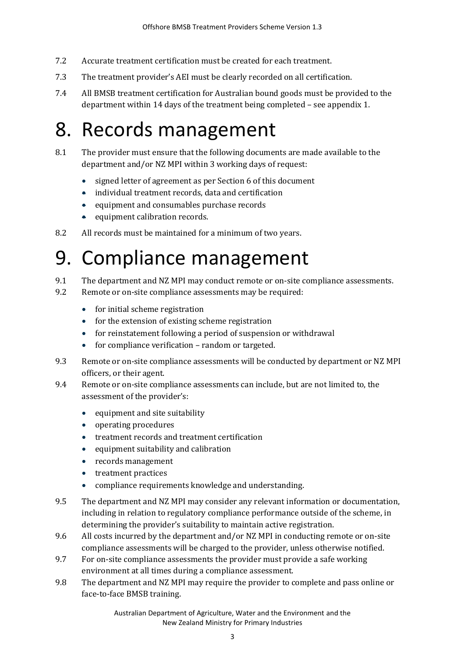- 7.2 Accurate treatment certification must be created for each treatment.
- 7.3 The treatment provider's AEI must be clearly recorded on all certification.
- 7.4 All BMSB treatment certification for Australian bound goods must be provided to the department within 14 days of the treatment being completed – see appendix 1.

#### <span id="page-5-0"></span>8. Records management

- 8.1 The provider must ensure that the following documents are made available to the department and/or NZ MPI within 3 working days of request:
	- signed letter of agreement as per Section 6 of this document
	- individual treatment records, data and certification
	- equipment and consumables purchase records
	- equipment calibration records.
- 8.2 All records must be maintained for a minimum of two years.

### <span id="page-5-1"></span>9. Compliance management

- 9.1 The department and NZ MPI may conduct remote or on-site compliance assessments.
- 9.2 Remote or on-site compliance assessments may be required:
	- for initial scheme registration
	- for the extension of existing scheme registration
	- for reinstatement following a period of suspension or withdrawal
	- for compliance verification random or targeted.
- 9.3 Remote or on-site compliance assessments will be conducted by department or NZ MPI officers, or their agent.
- 9.4 Remote or on-site compliance assessments can include, but are not limited to, the assessment of the provider's:
	- equipment and site suitability
	- operating procedures
	- treatment records and treatment certification
	- equipment suitability and calibration
	- records management
	- treatment practices
	- compliance requirements knowledge and understanding.
- 9.5 The department and NZ MPI may consider any relevant information or documentation, including in relation to regulatory compliance performance outside of the scheme, in determining the provider's suitability to maintain active registration.
- 9.6 All costs incurred by the department and/or NZ MPI in conducting remote or on-site compliance assessments will be charged to the provider, unless otherwise notified.
- 9.7 For on-site compliance assessments the provider must provide a safe working environment at all times during a compliance assessment.
- 9.8 The department and NZ MPI may require the provider to complete and pass online or face-to-face BMSB training.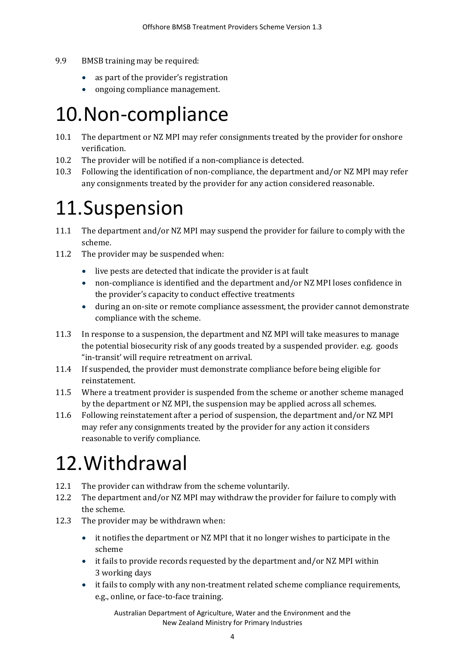- 9.9 BMSB training may be required:
	- as part of the provider's registration
	- ongoing compliance management.

#### <span id="page-6-0"></span>10.Non-compliance

- 10.1 The department or NZ MPI may refer consignments treated by the provider for onshore verification.
- 10.2 The provider will be notified if a non-compliance is detected.
- 10.3 Following the identification of non-compliance, the department and/or NZ MPI may refer any consignments treated by the provider for any action considered reasonable.

### <span id="page-6-1"></span>11.Suspension

- 11.1 The department and/or NZ MPI may suspend the provider for failure to comply with the scheme.
- 11.2 The provider may be suspended when:
	- live pests are detected that indicate the provider is at fault
	- non-compliance is identified and the department and/or NZ MPI loses confidence in the provider's capacity to conduct effective treatments
	- during an on-site or remote compliance assessment, the provider cannot demonstrate compliance with the scheme.
- 11.3 In response to a suspension, the department and NZ MPI will take measures to manage the potential biosecurity risk of any goods treated by a suspended provider. e.g. goods "in-transit' will require retreatment on arrival.
- 11.4 If suspended, the provider must demonstrate compliance before being eligible for reinstatement.
- 11.5 Where a treatment provider is suspended from the scheme or another scheme managed by the department or NZ MPI, the suspension may be applied across all schemes.
- 11.6 Following reinstatement after a period of suspension, the department and/or NZ MPI may refer any consignments treated by the provider for any action it considers reasonable to verify compliance.

### <span id="page-6-2"></span>12.Withdrawal

- 12.1 The provider can withdraw from the scheme voluntarily.
- 12.2 The department and/or NZ MPI may withdraw the provider for failure to comply with the scheme.
- 12.3 The provider may be withdrawn when:
	- it notifies the department or NZ MPI that it no longer wishes to participate in the scheme
	- it fails to provide records requested by the department and/or NZ MPI within 3 working days
	- it fails to comply with any non-treatment related scheme compliance requirements, e.g., online, or face-to-face training.

Australian Department of Agriculture, Water and the Environment and the New Zealand Ministry for Primary Industries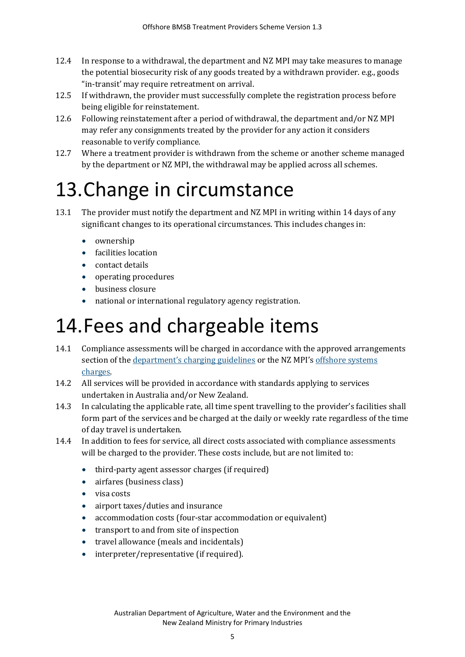- 12.4 In response to a withdrawal, the department and NZ MPI may take measures to manage the potential biosecurity risk of any goods treated by a withdrawn provider. e.g., goods "in-transit' may require retreatment on arrival.
- 12.5 If withdrawn, the provider must successfully complete the registration process before being eligible for reinstatement.
- 12.6 Following reinstatement after a period of withdrawal, the department and/or NZ MPI may refer any consignments treated by the provider for any action it considers reasonable to verify compliance.
- 12.7 Where a treatment provider is withdrawn from the scheme or another scheme managed by the department or NZ MPI, the withdrawal may be applied across all schemes.

# <span id="page-7-0"></span>13.Change in circumstance

- 13.1 The provider must notify the department and NZ MPI in writing within 14 days of any significant changes to its operational circumstances. This includes changes in:
	- ownership
	- facilities location
	- contact details
	- operating procedures
	- business closure
	- national or international regulatory agency registration.

# <span id="page-7-1"></span>14.Fees and chargeable items

- 14.1 Compliance assessments will be charged in accordance with the approved arrangements section of the <u>department's [charging guidelines](http://www.agriculture.gov.au/fees/charging-guidelines)</u> or the NZ MPI's offshore systems [charges.](https://www.biosecurity.govt.nz/importing/border-clearance/transitional-and-containment-facilities/find-treatment-options-and-provider/)
- 14.2 All services will be provided in accordance with standards applying to services undertaken in Australia and/or New Zealand.
- 14.3 In calculating the applicable rate, all time spent travelling to the provider's facilities shall form part of the services and be charged at the daily or weekly rate regardless of the time of day travel is undertaken.
- 14.4 In addition to fees for service, all direct costs associated with compliance assessments will be charged to the provider. These costs include, but are not limited to:
	- third-party agent assessor charges (if required)
	- airfares (business class)
	- visa costs
	- airport taxes/duties and insurance
	- accommodation costs (four-star accommodation or equivalent)
	- transport to and from site of inspection
	- travel allowance (meals and incidentals)
	- interpreter/representative (if required).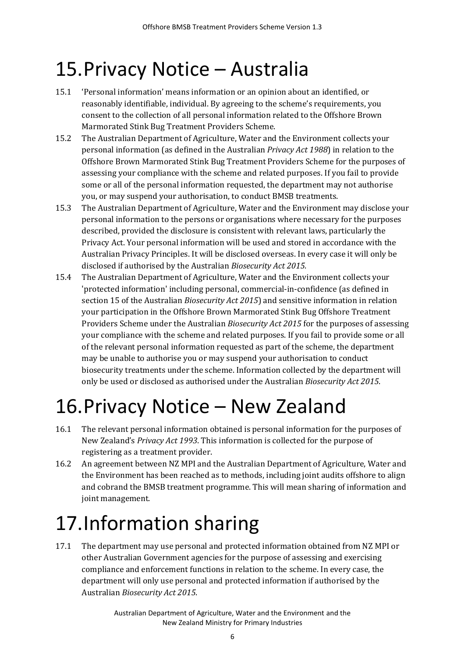### <span id="page-8-0"></span>15.Privacy Notice – Australia

- 15.1 'Personal information' means information or an opinion about an identified, or reasonably identifiable, individual. By agreeing to the scheme's requirements, you consent to the collection of all personal information related to the Offshore Brown Marmorated Stink Bug Treatment Providers Scheme.
- 15.2 The Australian Department of Agriculture, Water and the Environment collects your personal information (as defined in the Australian *Privacy Act 1988*) in relation to the Offshore Brown Marmorated Stink Bug Treatment Providers Scheme for the purposes of assessing your compliance with the scheme and related purposes. If you fail to provide some or all of the personal information requested, the department may not authorise you, or may suspend your authorisation, to conduct BMSB treatments.
- 15.3 The Australian Department of Agriculture, Water and the Environment may disclose your personal information to the persons or organisations where necessary for the purposes described, provided the disclosure is consistent with relevant laws, particularly the Privacy Act. Your personal information will be used and stored in accordance with the Australian Privacy Principles. It will be disclosed overseas. In every case it will only be disclosed if authorised by the Australian *Biosecurity Act 2015.*
- 15.4 The Australian Department of Agriculture, Water and the Environment collects your 'protected information' including personal, commercial-in-confidence (as defined in section 15 of the Australian *Biosecurity Act 2015*) and sensitive information in relation your participation in the Offshore Brown Marmorated Stink Bug Offshore Treatment Providers Scheme under the Australian *Biosecurity Act 2015* for the purposes of assessing your compliance with the scheme and related purposes. If you fail to provide some or all of the relevant personal information requested as part of the scheme, the department may be unable to authorise you or may suspend your authorisation to conduct biosecurity treatments under the scheme. Information collected by the department will only be used or disclosed as authorised under the Australian *Biosecurity Act 2015*.

# <span id="page-8-1"></span>16.Privacy Notice – New Zealand

- 16.1 The relevant personal information obtained is personal information for the purposes of New Zealand's *Privacy Act 1993*. This information is collected for the purpose of registering as a treatment provider.
- 16.2 An agreement between NZ MPI and the Australian Department of Agriculture, Water and the Environment has been reached as to methods, including joint audits offshore to align and cobrand the BMSB treatment programme. This will mean sharing of information and joint management.

# <span id="page-8-2"></span>17.Information sharing

17.1 The department may use personal and protected information obtained from NZ MPI or other Australian Government agencies for the purpose of assessing and exercising compliance and enforcement functions in relation to the scheme. In every case, the department will only use personal and protected information if authorised by the Australian *Biosecurity Act 2015*.

> Australian Department of Agriculture, Water and the Environment and the New Zealand Ministry for Primary Industries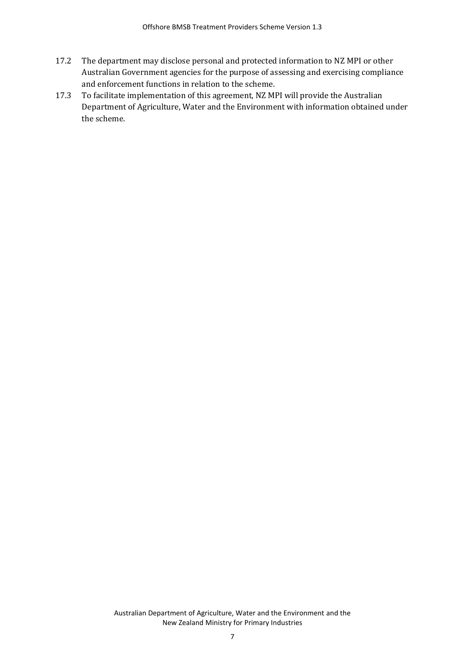- 17.2 The department may disclose personal and protected information to NZ MPI or other Australian Government agencies for the purpose of assessing and exercising compliance and enforcement functions in relation to the scheme.
- 17.3 To facilitate implementation of this agreement, NZ MPI will provide the Australian Department of Agriculture, Water and the Environment with information obtained under the scheme.